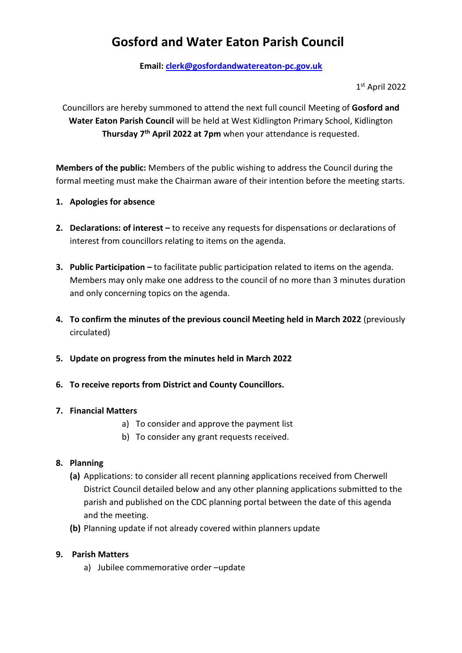# **Gosford and Water Eaton Parish Council**

**Email: [clerk@gosfordandwatereaton-pc.gov.uk](mailto:clerk@gosfordandwatereaton-pc.gov.uk)**

1 st April 2022

Councillors are hereby summoned to attend the next full council Meeting of **Gosford and Water Eaton Parish Council** will be held at West Kidlington Primary School, Kidlington **Thursday 7th April 2022 at 7pm** when your attendance is requested.

**Members of the public:** Members of the public wishing to address the Council during the formal meeting must make the Chairman aware of their intention before the meeting starts.

- **1. Apologies for absence**
- **2. Declarations: of interest –** to receive any requests for dispensations or declarations of interest from councillors relating to items on the agenda.
- **3. Public Participation –** to facilitate public participation related to items on the agenda. Members may only make one address to the council of no more than 3 minutes duration and only concerning topics on the agenda.
- **4. To confirm the minutes of the previous council Meeting held in March 2022** (previously circulated)
- **5. Update on progress from the minutes held in March 2022**
- **6. To receive reports from District and County Councillors.**

#### **7. Financial Matters**

- a) To consider and approve the payment list
- b) To consider any grant requests received.

## **8. Planning**

- **(a)** Applications: to consider all recent planning applications received from Cherwell District Council detailed below and any other planning applications submitted to the parish and published on the CDC planning portal between the date of this agenda and the meeting.
- **(b)** Planning update if not already covered within planners update

#### **9. Parish Matters**

a) Jubilee commemorative order –update